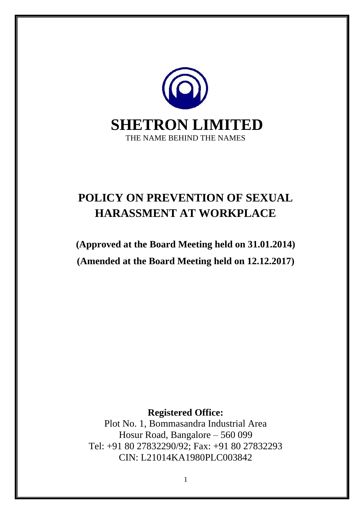

# **POLICY ON PREVENTION OF SEXUAL HARASSMENT AT WORKPLACE**

**(Approved at the Board Meeting held on 31.01.2014) (Amended at the Board Meeting held on 12.12.2017)**

**Registered Office:** 

Plot No. 1, Bommasandra Industrial Area Hosur Road, Bangalore – 560 099 Tel: +91 80 27832290/92; Fax: +91 80 27832293 CIN: L21014KA1980PLC003842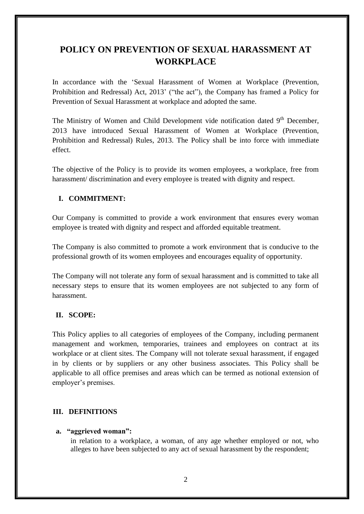# **POLICY ON PREVENTION OF SEXUAL HARASSMENT AT WORKPLACE**

In accordance with the 'Sexual Harassment of Women at Workplace (Prevention, Prohibition and Redressal) Act, 2013' ("the act"), the Company has framed a Policy for Prevention of Sexual Harassment at workplace and adopted the same.

The Ministry of Women and Child Development vide notification dated  $9<sup>th</sup>$  December, 2013 have introduced Sexual Harassment of Women at Workplace (Prevention, Prohibition and Redressal) Rules, 2013. The Policy shall be into force with immediate effect.

The objective of the Policy is to provide its women employees, a workplace, free from harassment/discrimination and every employee is treated with dignity and respect.

# **I. COMMITMENT:**

Our Company is committed to provide a work environment that ensures every woman employee is treated with dignity and respect and afforded equitable treatment.

The Company is also committed to promote a work environment that is conducive to the professional growth of its women employees and encourages equality of opportunity.

The Company will not tolerate any form of sexual harassment and is committed to take all necessary steps to ensure that its women employees are not subjected to any form of harassment.

### **II. SCOPE:**

This Policy applies to all categories of employees of the Company, including permanent management and workmen, temporaries, trainees and employees on contract at its workplace or at client sites. The Company will not tolerate sexual harassment, if engaged in by clients or by suppliers or any other business associates. This Policy shall be applicable to all office premises and areas which can be termed as notional extension of employer's premises.

### **III. DEFINITIONS**

#### **a. "aggrieved woman":**

in relation to a workplace, a woman, of any age whether employed or not, who alleges to have been subjected to any act of sexual harassment by the respondent;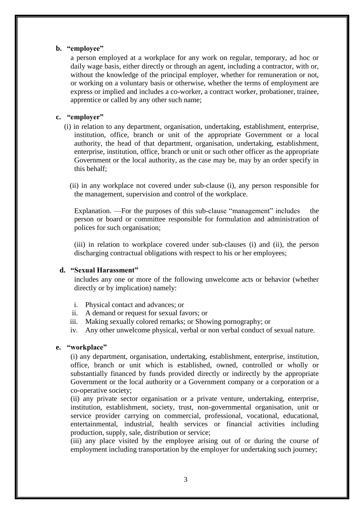#### **b. "employee"**

a person employed at a workplace for any work on regular, temporary, ad hoc or daily wage basis, either directly or through an agent, including a contractor, with or, without the knowledge of the principal employer, whether for remuneration or not, or working on a voluntary basis or otherwise, whether the terms of employment are express or implied and includes a co-worker, a contract worker, probationer, trainee, apprentice or called by any other such name;

### **c. "employer"**

- (i) in relation to any department, organisation, undertaking, establishment, enterprise, institution, office, branch or unit of the appropriate Government or a local authority, the head of that department, organisation, undertaking, establishment, enterprise, institution, office, branch or unit or such other officer as the appropriate Government or the local authority, as the case may be, may by an order specify in this behalf;
	- (ii) in any workplace not covered under sub-clause (i), any person responsible for the management, supervision and control of the workplace.

Explanation. —For the purposes of this sub-clause "management" includes the person or board or committee responsible for formulation and administration of polices for such organisation;

(iii) in relation to workplace covered under sub-clauses (i) and (ii), the person discharging contractual obligations with respect to his or her employees;

#### **d. "Sexual Harassment"**

includes any one or more of the following unwelcome acts or behavior (whether directly or by implication) namely:

- i. Physical contact and advances; or
- ii. A demand or request for sexual favors; or
- iii. Making sexually colored remarks; or Showing pornography; or
- iv. Any other unwelcome physical, verbal or non verbal conduct of sexual nature.

#### **e. "workplace"**

(i) any department, organisation, undertaking, establishment, enterprise, institution, office, branch or unit which is established, owned, controlled or wholly or substantially financed by funds provided directly or indirectly by the appropriate Government or the local authority or a Government company or a corporation or a co-operative society;

(ii) any private sector organisation or a private venture, undertaking, enterprise, institution, establishment, society, trust, non-governmental organisation, unit or service provider carrying on commercial, professional, vocational, educational, entertainmental, industrial, health services or financial activities including production, supply, sale, distribution or service;

(iii) any place visited by the employee arising out of or during the course of employment including transportation by the employer for undertaking such journey;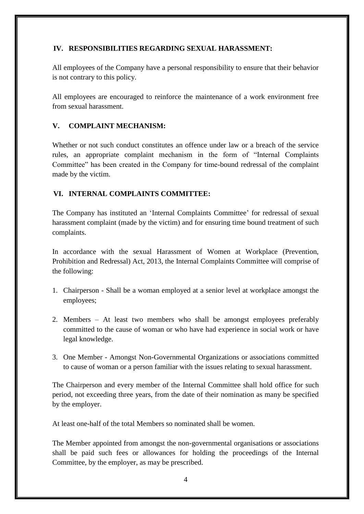# **IV. RESPONSIBILITIES REGARDING SEXUAL HARASSMENT:**

All employees of the Company have a personal responsibility to ensure that their behavior is not contrary to this policy.

All employees are encouraged to reinforce the maintenance of a work environment free from sexual harassment.

# **V. COMPLAINT MECHANISM:**

Whether or not such conduct constitutes an offence under law or a breach of the service rules, an appropriate complaint mechanism in the form of "Internal Complaints Committee" has been created in the Company for time-bound redressal of the complaint made by the victim.

### **VI. INTERNAL COMPLAINTS COMMITTEE:**

The Company has instituted an 'Internal Complaints Committee' for redressal of sexual harassment complaint (made by the victim) and for ensuring time bound treatment of such complaints.

In accordance with the sexual Harassment of Women at Workplace (Prevention, Prohibition and Redressal) Act, 2013, the Internal Complaints Committee will comprise of the following:

- 1. Chairperson Shall be a woman employed at a senior level at workplace amongst the employees;
- 2. Members At least two members who shall be amongst employees preferably committed to the cause of woman or who have had experience in social work or have legal knowledge.
- 3. One Member Amongst Non-Governmental Organizations or associations committed to cause of woman or a person familiar with the issues relating to sexual harassment.

The Chairperson and every member of the Internal Committee shall hold office for such period, not exceeding three years, from the date of their nomination as many be specified by the employer.

At least one-half of the total Members so nominated shall be women.

The Member appointed from amongst the non-governmental organisations or associations shall be paid such fees or allowances for holding the proceedings of the Internal Committee, by the employer, as may be prescribed.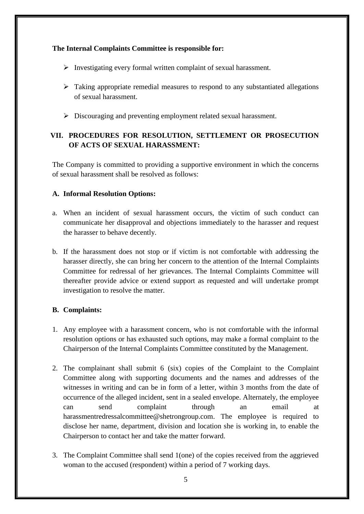# **The Internal Complaints Committee is responsible for:**

- $\triangleright$  Investigating every formal written complaint of sexual harassment.
- $\triangleright$  Taking appropriate remedial measures to respond to any substantiated allegations of sexual harassment.
- Discouraging and preventing employment related sexual harassment.

# **VII. PROCEDURES FOR RESOLUTION, SETTLEMENT OR PROSECUTION OF ACTS OF SEXUAL HARASSMENT:**

The Company is committed to providing a supportive environment in which the concerns of sexual harassment shall be resolved as follows:

# **A. Informal Resolution Options:**

- a. When an incident of sexual harassment occurs, the victim of such conduct can communicate her disapproval and objections immediately to the harasser and request the harasser to behave decently.
- b. If the harassment does not stop or if victim is not comfortable with addressing the harasser directly, she can bring her concern to the attention of the Internal Complaints Committee for redressal of her grievances. The Internal Complaints Committee will thereafter provide advice or extend support as requested and will undertake prompt investigation to resolve the matter.

### **B. Complaints:**

- 1. Any employee with a harassment concern, who is not comfortable with the informal resolution options or has exhausted such options, may make a formal complaint to the Chairperson of the Internal Complaints Committee constituted by the Management.
- 2. The complainant shall submit 6 (six) copies of the Complaint to the Complaint Committee along with supporting documents and the names and addresses of the witnesses in writing and can be in form of a letter, within 3 months from the date of occurrence of the alleged incident, sent in a sealed envelope. Alternately, the employee can send complaint through an email at harassmentredressalcommittee@shetrongroup.com. The employee is required to disclose her name, department, division and location she is working in, to enable the Chairperson to contact her and take the matter forward.
- 3. The Complaint Committee shall send 1(one) of the copies received from the aggrieved woman to the accused (respondent) within a period of 7 working days.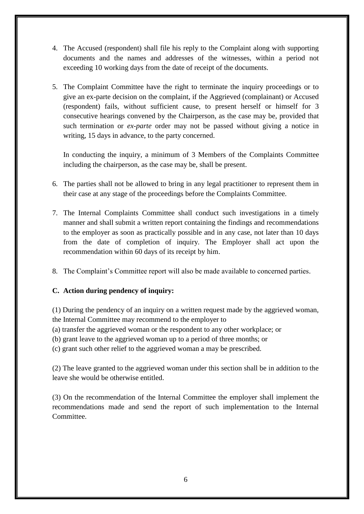- 4. The Accused (respondent) shall file his reply to the Complaint along with supporting documents and the names and addresses of the witnesses, within a period not exceeding 10 working days from the date of receipt of the documents.
- 5. The Complaint Committee have the right to terminate the inquiry proceedings or to give an ex-parte decision on the complaint, if the Aggrieved (complainant) or Accused (respondent) fails, without sufficient cause, to present herself or himself for 3 consecutive hearings convened by the Chairperson, as the case may be, provided that such termination or *ex-parte* order may not be passed without giving a notice in writing, 15 days in advance, to the party concerned.

In conducting the inquiry, a minimum of 3 Members of the Complaints Committee including the chairperson, as the case may be, shall be present.

- 6. The parties shall not be allowed to bring in any legal practitioner to represent them in their case at any stage of the proceedings before the Complaints Committee.
- 7. The Internal Complaints Committee shall conduct such investigations in a timely manner and shall submit a written report containing the findings and recommendations to the employer as soon as practically possible and in any case, not later than 10 days from the date of completion of inquiry. The Employer shall act upon the recommendation within 60 days of its receipt by him.
- 8. The Complaint's Committee report will also be made available to concerned parties.

# **C. Action during pendency of inquiry:**

(1) During the pendency of an inquiry on a written request made by the aggrieved woman, the Internal Committee may recommend to the employer to

- (a) transfer the aggrieved woman or the respondent to any other workplace; or
- (b) grant leave to the aggrieved woman up to a period of three months; or

(c) grant such other relief to the aggrieved woman a may be prescribed.

(2) The leave granted to the aggrieved woman under this section shall be in addition to the leave she would be otherwise entitled.

(3) On the recommendation of the Internal Committee the employer shall implement the recommendations made and send the report of such implementation to the Internal Committee.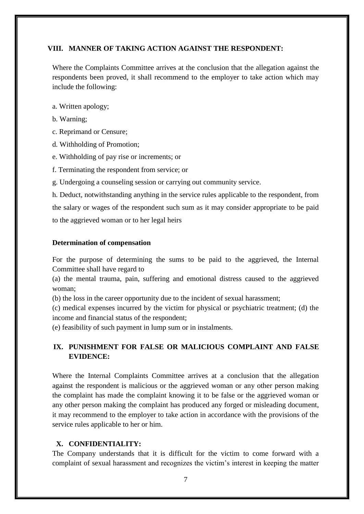#### **VIII. MANNER OF TAKING ACTION AGAINST THE RESPONDENT:**

Where the Complaints Committee arrives at the conclusion that the allegation against the respondents been proved, it shall recommend to the employer to take action which may include the following:

a. Written apology;

b. Warning;

c. Reprimand or Censure;

- d. Withholding of Promotion;
- e. Withholding of pay rise or increments; or
- f. Terminating the respondent from service; or
- g. Undergoing a counseling session or carrying out community service.

h. Deduct, notwithstanding anything in the service rules applicable to the respondent, from the salary or wages of the respondent such sum as it may consider appropriate to be paid to the aggrieved woman or to her legal heirs

#### **Determination of compensation**

For the purpose of determining the sums to be paid to the aggrieved, the Internal Committee shall have regard to

(a) the mental trauma, pain, suffering and emotional distress caused to the aggrieved woman;

(b) the loss in the career opportunity due to the incident of sexual harassment;

(c) medical expenses incurred by the victim for physical or psychiatric treatment; (d) the income and financial status of the respondent;

(e) feasibility of such payment in lump sum or in instalments.

# **IX. PUNISHMENT FOR FALSE OR MALICIOUS COMPLAINT AND FALSE EVIDENCE:**

Where the Internal Complaints Committee arrives at a conclusion that the allegation against the respondent is malicious or the aggrieved woman or any other person making the complaint has made the complaint knowing it to be false or the aggrieved woman or any other person making the complaint has produced any forged or misleading document, it may recommend to the employer to take action in accordance with the provisions of the service rules applicable to her or him.

#### **X. CONFIDENTIALITY:**

The Company understands that it is difficult for the victim to come forward with a complaint of sexual harassment and recognizes the victim's interest in keeping the matter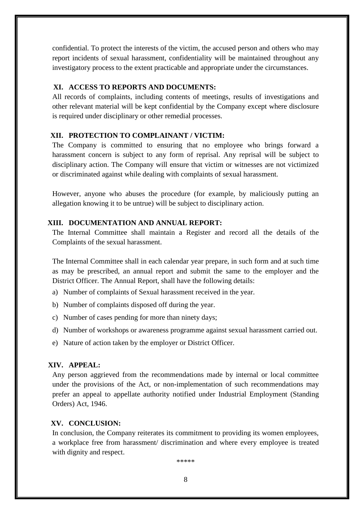confidential. To protect the interests of the victim, the accused person and others who may report incidents of sexual harassment, confidentiality will be maintained throughout any investigatory process to the extent practicable and appropriate under the circumstances.

### **XI. ACCESS TO REPORTS AND DOCUMENTS:**

All records of complaints, including contents of meetings, results of investigations and other relevant material will be kept confidential by the Company except where disclosure is required under disciplinary or other remedial processes.

#### **XII. PROTECTION TO COMPLAINANT / VICTIM:**

The Company is committed to ensuring that no employee who brings forward a harassment concern is subject to any form of reprisal. Any reprisal will be subject to disciplinary action. The Company will ensure that victim or witnesses are not victimized or discriminated against while dealing with complaints of sexual harassment.

However, anyone who abuses the procedure (for example, by maliciously putting an allegation knowing it to be untrue) will be subject to disciplinary action.

#### **XIII. DOCUMENTATION AND ANNUAL REPORT:**

The Internal Committee shall maintain a Register and record all the details of the Complaints of the sexual harassment.

The Internal Committee shall in each calendar year prepare, in such form and at such time as may be prescribed, an annual report and submit the same to the employer and the District Officer. The Annual Report, shall have the following details:

- a) Number of complaints of Sexual harassment received in the year.
- b) Number of complaints disposed off during the year.
- c) Number of cases pending for more than ninety days;
- d) Number of workshops or awareness programme against sexual harassment carried out.
- e) Nature of action taken by the employer or District Officer.

#### **XIV. APPEAL:**

Any person aggrieved from the recommendations made by internal or local committee under the provisions of the Act, or non-implementation of such recommendations may prefer an appeal to appellate authority notified under Industrial Employment (Standing Orders) Act, 1946.

#### **XV. CONCLUSION:**

In conclusion, the Company reiterates its commitment to providing its women employees, a workplace free from harassment/ discrimination and where every employee is treated with dignity and respect.

\*\*\*\*\*